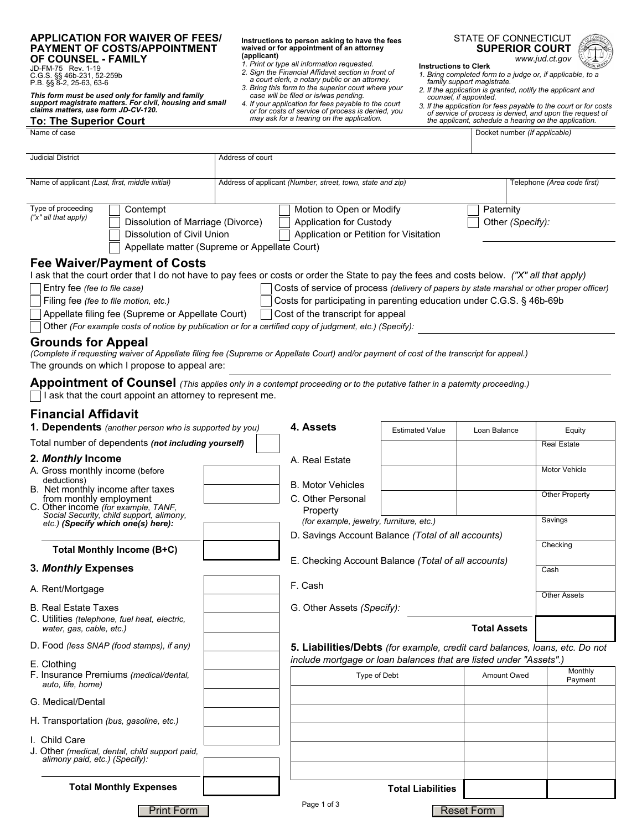## **APPLICATION FOR WAIVER OF FEES/ PAYMENT OF COSTS/APPOINTMENT OF COUNSEL - FAMILY**

JD-FM-75 Rev. 1-19 C.G.S. §§ 46b-231, 52-259b P.B. §§ 8-2, 25-63, 63-6

*This form must be used only for family and family support magistrate matters. For civil, housing and small claims matters, use form JD-CV-120.*

## **To: The Superior Court**<br>Name of case

**Instructions to person asking to have the fees waived or for appointment of an attorney (applicant)** 

- *1. Print or type all information requested. 2. Sign the Financial Affidavit section in front of*
- *a court clerk, a notary public or an attorney. 3. Bring this form to the superior court where your*
- *case will be filed or is/was pending.*
- *4. If your application for fees payable to the court or for costs of service of process is denied, you may ask for a hearing on the application.*

STATE OF CONNECTICUT **SUPERIOR COURT** *www.jud.ct.gov*



## **Instructions to Clerk**

- *1. Bring completed form to a judge or, if applicable, to a family support magistrate.*
- *2. If the application is granted, notify the applicant and counsel, if appointed.*
- *3. If the application for fees payable to the court or for costs of service of process is denied, and upon the request of the applicant, schedule a hearing on the application.*

Docket number *(If applicable)* 

| <b>Judicial District</b>                                                                                                                                                                                                | Address of court                                                                          |                                                                                                      |                        |                               |  |                     |
|-------------------------------------------------------------------------------------------------------------------------------------------------------------------------------------------------------------------------|-------------------------------------------------------------------------------------------|------------------------------------------------------------------------------------------------------|------------------------|-------------------------------|--|---------------------|
| Name of applicant (Last, first, middle initial)                                                                                                                                                                         | Address of applicant (Number, street, town, state and zip)<br>Telephone (Area code first) |                                                                                                      |                        |                               |  |                     |
| Type of proceeding<br>Contempt<br>("x" all that apply)<br>Dissolution of Marriage (Divorce)<br>Dissolution of Civil Union<br>Appellate matter (Supreme or Appellate Court)                                              |                                                                                           | Motion to Open or Modify<br><b>Application for Custody</b><br>Application or Petition for Visitation |                        | Paternity<br>Other (Specify): |  |                     |
| <b>Fee Waiver/Payment of Costs</b><br>I ask that the court order that I do not have to pay fees or costs or order the State to pay the fees and costs below. ("X" all that apply)<br>Entry fee (fee to file case)       |                                                                                           | Costs of service of process (delivery of papers by state marshal or other proper officer)            |                        |                               |  |                     |
| Filing fee (fee to file motion, etc.)                                                                                                                                                                                   |                                                                                           | Costs for participating in parenting education under C.G.S. § 46b-69b                                |                        |                               |  |                     |
| Appellate filing fee (Supreme or Appellate Court)                                                                                                                                                                       |                                                                                           | Cost of the transcript for appeal                                                                    |                        |                               |  |                     |
| Other (For example costs of notice by publication or for a certified copy of judgment, etc.) (Specify):                                                                                                                 |                                                                                           |                                                                                                      |                        |                               |  |                     |
| <b>Grounds for Appeal</b><br>(Complete if requesting waiver of Appellate filing fee (Supreme or Appellate Court) and/or payment of cost of the transcript for appeal.)<br>The grounds on which I propose to appeal are: |                                                                                           |                                                                                                      |                        |                               |  |                     |
| Appointment of Counsel (This applies only in a contempt proceeding or to the putative father in a paternity proceeding.)<br>$\Box$ I ask that the court appoint an attorney to represent me.                            |                                                                                           |                                                                                                      |                        |                               |  |                     |
| <b>Financial Affidavit</b><br>1. Dependents (another person who is supported by you)                                                                                                                                    |                                                                                           | 4. Assets                                                                                            | <b>Estimated Value</b> | Loan Balance                  |  | Equity              |
| Total number of dependents (not including yourself)                                                                                                                                                                     |                                                                                           |                                                                                                      |                        |                               |  | <b>Real Estate</b>  |
| 2. Monthly Income<br>A. Gross monthly income (before<br>deductions)                                                                                                                                                     |                                                                                           | A. Real Estate                                                                                       |                        |                               |  | Motor Vehicle       |
| B. Net monthly income after taxes                                                                                                                                                                                       |                                                                                           | <b>B. Motor Vehicles</b>                                                                             |                        |                               |  | Other Property      |
| from monthly employment                                                                                                                                                                                                 |                                                                                           | C. Other Personal                                                                                    |                        |                               |  |                     |
| C. Other income (for example, TANF,<br>Social Security, child support, alimony,<br>etc.) (Specify which one(s) here):                                                                                                   |                                                                                           | Property<br>(for example, jewelry, furniture, etc.)                                                  |                        |                               |  | Savings             |
|                                                                                                                                                                                                                         |                                                                                           | D. Savings Account Balance (Total of all accounts)                                                   |                        |                               |  |                     |
| Total Monthly Income (B+C)                                                                                                                                                                                              |                                                                                           |                                                                                                      |                        |                               |  | Checking            |
| 3. Monthly Expenses                                                                                                                                                                                                     |                                                                                           | E. Checking Account Balance (Total of all accounts)                                                  |                        |                               |  | Cash                |
| A. Rent/Mortgage                                                                                                                                                                                                        |                                                                                           | F. Cash                                                                                              |                        |                               |  |                     |
| <b>B. Real Estate Taxes</b>                                                                                                                                                                                             |                                                                                           | G. Other Assets (Specify):                                                                           |                        |                               |  | <b>Other Assets</b> |
| C. Utilities (telephone, fuel heat, electric,<br>water, gas, cable, etc.)                                                                                                                                               |                                                                                           |                                                                                                      |                        | <b>Total Assets</b>           |  |                     |
| D. Food (less SNAP (food stamps), if any)                                                                                                                                                                               |                                                                                           | 5. Liabilities/Debts (for example, credit card balances, loans, etc. Do not                          |                        |                               |  |                     |
| E. Clothing                                                                                                                                                                                                             |                                                                                           | include mortgage or loan balances that are listed under "Assets".)                                   |                        |                               |  |                     |
| F. Insurance Premiums (medical/dental,<br>auto, life, home)                                                                                                                                                             |                                                                                           | Type of Debt                                                                                         |                        | Amount Owed                   |  | Monthly<br>Payment  |
| G. Medical/Dental                                                                                                                                                                                                       |                                                                                           |                                                                                                      |                        |                               |  |                     |
| H. Transportation (bus, gasoline, etc.)                                                                                                                                                                                 |                                                                                           |                                                                                                      |                        |                               |  |                     |
| I. Child Care                                                                                                                                                                                                           |                                                                                           |                                                                                                      |                        |                               |  |                     |

J. Other *(medical, dental, child support paid, alimony paid, etc.) (Specify):*

**Total Monthly Expenses**

| Page 1 of 3 |  |  |  |
|-------------|--|--|--|
|-------------|--|--|--|

Print Form | Reset Form | Reset Form | Reset Form | Reset Form | Reset Form | Reset Form | Reset Form | Reset Form | Reset Form |  $R$ 

**Total Liabilities**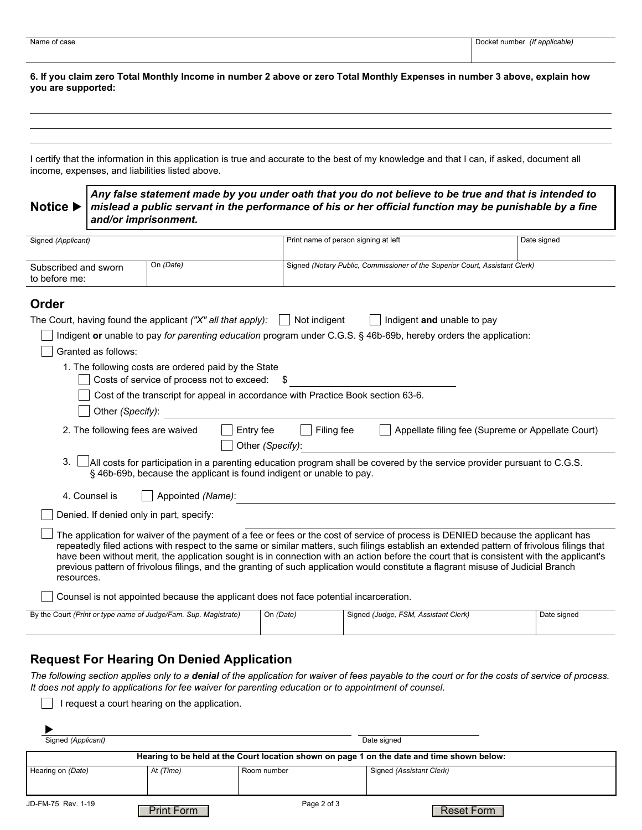**6. If you claim zero Total Monthly Income in number 2 above or zero Total Monthly Expenses in number 3 above, explain how you are supported:**

I certify that the information in this application is true and accurate to the best of my knowledge and that I can, if asked, document all income, expenses, and liabilities listed above.

*Any false statement made by you under oath that you do not believe to be true and that is intended to mislead a public servant in the performance of his or her official function may be punishable by a fine and/or imprisonment.* **Notice ▶** 

| Signed (Applicant)                                              |                                                                                                    |                  | Print name of person signing at left                                                                                                                                                                                                                                                                                                                                                                                                                                                                                                                            | Date signed |                                                   |  |
|-----------------------------------------------------------------|----------------------------------------------------------------------------------------------------|------------------|-----------------------------------------------------------------------------------------------------------------------------------------------------------------------------------------------------------------------------------------------------------------------------------------------------------------------------------------------------------------------------------------------------------------------------------------------------------------------------------------------------------------------------------------------------------------|-------------|---------------------------------------------------|--|
| On (Date)<br>Subscribed and sworn<br>to before me:              |                                                                                                    |                  | Signed (Notary Public, Commissioner of the Superior Court, Assistant Clerk)                                                                                                                                                                                                                                                                                                                                                                                                                                                                                     |             |                                                   |  |
| Order                                                           |                                                                                                    |                  |                                                                                                                                                                                                                                                                                                                                                                                                                                                                                                                                                                 |             |                                                   |  |
| The Court, having found the applicant ("X" all that apply):     |                                                                                                    |                  | Not indigent<br>Indigent and unable to pay                                                                                                                                                                                                                                                                                                                                                                                                                                                                                                                      |             |                                                   |  |
|                                                                 |                                                                                                    |                  | Indigent or unable to pay for parenting education program under C.G.S. § 46b-69b, hereby orders the application:                                                                                                                                                                                                                                                                                                                                                                                                                                                |             |                                                   |  |
| Granted as follows:                                             |                                                                                                    |                  |                                                                                                                                                                                                                                                                                                                                                                                                                                                                                                                                                                 |             |                                                   |  |
|                                                                 | 1. The following costs are ordered paid by the State<br>Costs of service of process not to exceed: |                  |                                                                                                                                                                                                                                                                                                                                                                                                                                                                                                                                                                 |             |                                                   |  |
|                                                                 | Cost of the transcript for appeal in accordance with Practice Book section 63-6.                   |                  |                                                                                                                                                                                                                                                                                                                                                                                                                                                                                                                                                                 |             |                                                   |  |
| Other (Specify):                                                |                                                                                                    |                  |                                                                                                                                                                                                                                                                                                                                                                                                                                                                                                                                                                 |             |                                                   |  |
| 2. The following fees are waived                                | Entry fee                                                                                          | Other (Specify): | Filing fee                                                                                                                                                                                                                                                                                                                                                                                                                                                                                                                                                      |             | Appellate filing fee (Supreme or Appellate Court) |  |
| 3.                                                              | § 46b-69b, because the applicant is found indigent or unable to pay.                               |                  | $\Box$ All costs for participation in a parenting education program shall be covered by the service provider pursuant to C.G.S.                                                                                                                                                                                                                                                                                                                                                                                                                                 |             |                                                   |  |
| 4. Counsel is                                                   | Appointed (Name):                                                                                  |                  |                                                                                                                                                                                                                                                                                                                                                                                                                                                                                                                                                                 |             |                                                   |  |
| Denied. If denied only in part, specify:                        |                                                                                                    |                  |                                                                                                                                                                                                                                                                                                                                                                                                                                                                                                                                                                 |             |                                                   |  |
| resources.                                                      |                                                                                                    |                  | The application for waiver of the payment of a fee or fees or the cost of service of process is DENIED because the applicant has<br>repeatedly filed actions with respect to the same or similar matters, such filings establish an extended pattern of frivolous filings that<br>have been without merit, the application sought is in connection with an action before the court that is consistent with the applicant's<br>previous pattern of frivolous filings, and the granting of such application would constitute a flagrant misuse of Judicial Branch |             |                                                   |  |
|                                                                 | Counsel is not appointed because the applicant does not face potential incarceration.              |                  |                                                                                                                                                                                                                                                                                                                                                                                                                                                                                                                                                                 |             |                                                   |  |
| By the Court (Print or type name of Judge/Fam. Sup. Magistrate) |                                                                                                    | On (Date)        | Signed (Judge, FSM, Assistant Clerk)                                                                                                                                                                                                                                                                                                                                                                                                                                                                                                                            |             | Date signed                                       |  |

## **Request For Hearing On Denied Application**

*The following section applies only to a denial of the application for waiver of fees payable to the court or for the costs of service of process. It does not apply to applications for fee waiver for parenting education or to appointment of counsel.*

 $\Box$  I request a court hearing on the application.

| Signed (Applicant) |                   |             | Date signed                                                                                |
|--------------------|-------------------|-------------|--------------------------------------------------------------------------------------------|
|                    |                   |             | Hearing to be held at the Court location shown on page 1 on the date and time shown below: |
| Hearing on (Date)  | At (Time)         | Room number | Signed (Assistant Clerk)                                                                   |
|                    |                   |             |                                                                                            |
| JD-FM-75 Rev. 1-19 | <b>Print Form</b> | Page 2 of 3 | Reset Form                                                                                 |